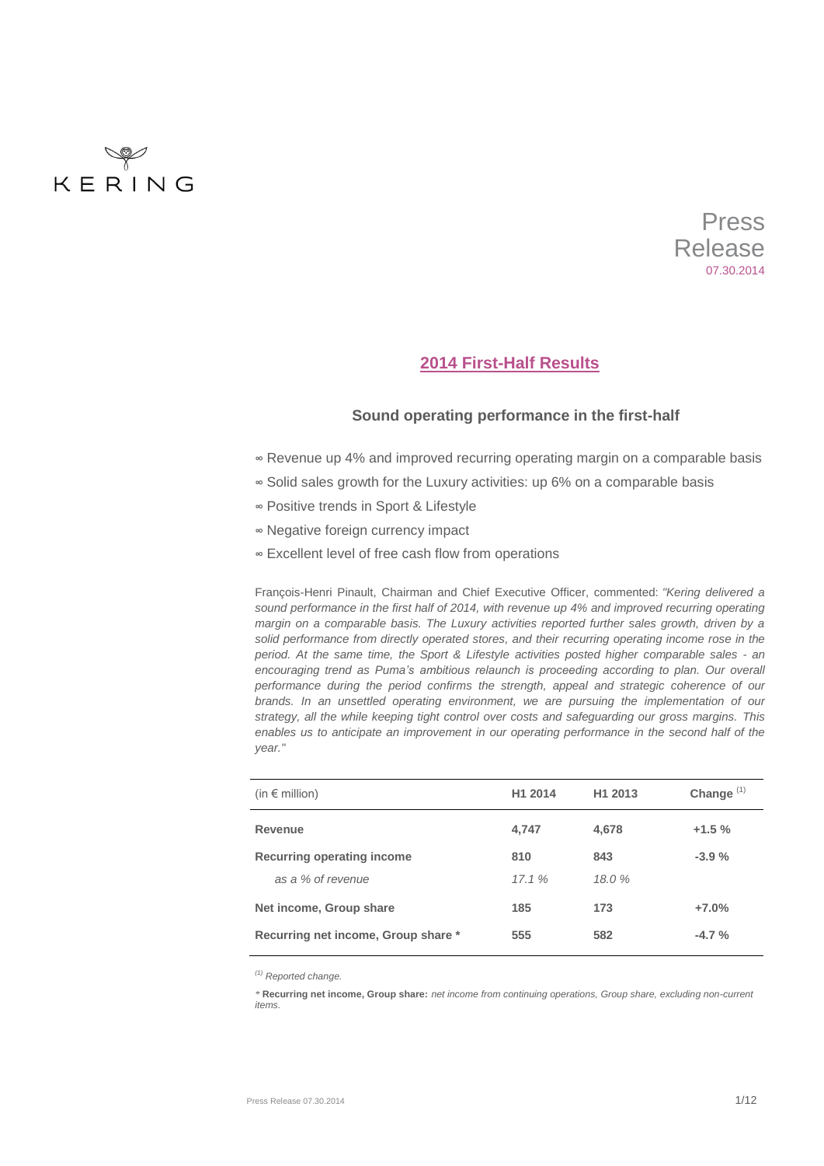

## **2014 First-Half Results**

## **Sound operating performance in the first-half**

**∞** Revenue up 4% and improved recurring operating margin on a comparable basis

- **∞** Solid sales growth for the Luxury activities: up 6% on a comparable basis
- **∞** Positive trends in Sport & Lifestyle
- **∞** Negative foreign currency impact
- **∞** Excellent level of free cash flow from operations

François-Henri Pinault, Chairman and Chief Executive Officer, commented: *"Kering delivered a sound performance in the first half of 2014, with revenue up 4% and improved recurring operating margin on a comparable basis. The Luxury activities reported further sales growth, driven by a solid performance from directly operated stores, and their recurring operating income rose in the period. At the same time, the Sport & Lifestyle activities posted higher comparable sales - an encouraging trend as Puma's ambitious relaunch is proceeding according to plan. Our overall performance during the period confirms the strength, appeal and strategic coherence of our brands. In an unsettled operating environment, we are pursuing the implementation of our strategy, all the while keeping tight control over costs and safeguarding our gross margins. This enables us to anticipate an improvement in our operating performance in the second half of the year."*

| (in $\epsilon$ million)             | H1 2014 | H1 2013 | Change $(1)$ |  |  |
|-------------------------------------|---------|---------|--------------|--|--|
| Revenue                             | 4,747   | 4,678   | $+1.5%$      |  |  |
| Recurring operating income          | 810     | 843     | $-3.9%$      |  |  |
| as a % of revenue                   | 17.1%   | 18.0%   |              |  |  |
| Net income, Group share             | 185     | 173     | $+7.0%$      |  |  |
| Recurring net income, Group share * | 555     | 582     | $-4.7%$      |  |  |

*(1) Reported change.*

*\** **Recurring net income, Group share:** *net income from continuing operations, Group share, excluding non-current items.*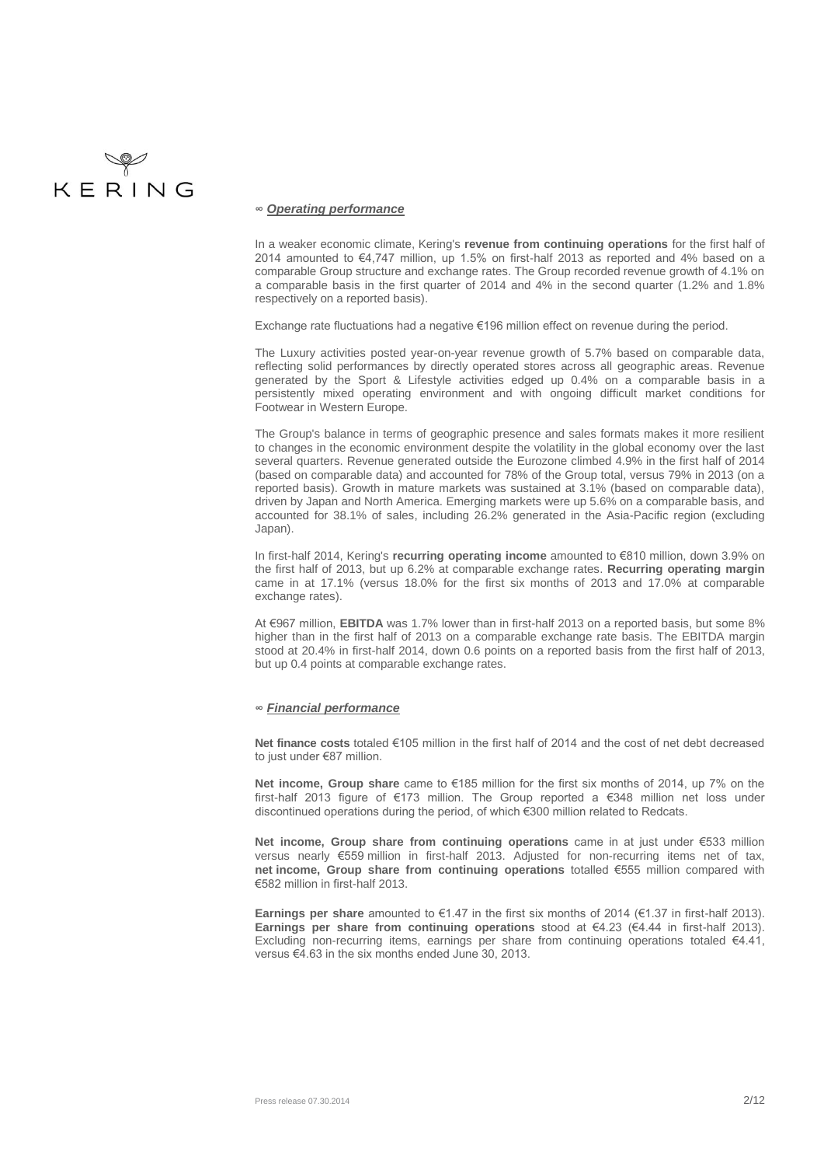

## **∞** *Operating performance*

In a weaker economic climate, Kering's **revenue from continuing operations** for the first half of 2014 amounted to €4,747 million, up 1.5% on first-half 2013 as reported and 4% based on a comparable Group structure and exchange rates. The Group recorded revenue growth of 4.1% on a comparable basis in the first quarter of 2014 and 4% in the second quarter (1.2% and 1.8% respectively on a reported basis).

Exchange rate fluctuations had a negative €196 million effect on revenue during the period.

The Luxury activities posted year-on-year revenue growth of 5.7% based on comparable data, reflecting solid performances by directly operated stores across all geographic areas. Revenue generated by the Sport & Lifestyle activities edged up 0.4% on a comparable basis in a persistently mixed operating environment and with ongoing difficult market conditions for Footwear in Western Europe.

The Group's balance in terms of geographic presence and sales formats makes it more resilient to changes in the economic environment despite the volatility in the global economy over the last several quarters. Revenue generated outside the Eurozone climbed 4.9% in the first half of 2014 (based on comparable data) and accounted for 78% of the Group total, versus 79% in 2013 (on a reported basis). Growth in mature markets was sustained at 3.1% (based on comparable data), driven by Japan and North America. Emerging markets were up 5.6% on a comparable basis, and accounted for 38.1% of sales, including 26.2% generated in the Asia-Pacific region (excluding Japan).

In first-half 2014, Kering's **recurring operating income** amounted to €810 million, down 3.9% on the first half of 2013, but up 6.2% at comparable exchange rates. **Recurring operating margin** came in at 17.1% (versus 18.0% for the first six months of 2013 and 17.0% at comparable exchange rates).

At €967 million, **EBITDA** was 1.7% lower than in first-half 2013 on a reported basis, but some 8% higher than in the first half of 2013 on a comparable exchange rate basis. The EBITDA margin stood at 20.4% in first-half 2014, down 0.6 points on a reported basis from the first half of 2013, but up 0.4 points at comparable exchange rates.

### **∞** *Financial performance*

**Net finance costs** totaled €105 million in the first half of 2014 and the cost of net debt decreased to just under €87 million.

**Net income, Group share** came to €185 million for the first six months of 2014, up 7% on the first-half 2013 figure of €173 million. The Group reported a €348 million net loss under discontinued operations during the period, of which €300 million related to Redcats.

**Net income, Group share from continuing operations** came in at just under €533 million versus nearly €559 million in first-half 2013. Adjusted for non-recurring items net of tax, **net income, Group share from continuing operations** totalled €555 million compared with €582 million in first-half 2013.

**Earnings per share** amounted to €1.47 in the first six months of 2014 (€1.37 in first-half 2013). **Earnings per share from continuing operations** stood at €4.23 (€4.44 in first-half 2013). Excluding non-recurring items, earnings per share from continuing operations totaled €4.41, versus €4.63 in the six months ended June 30, 2013.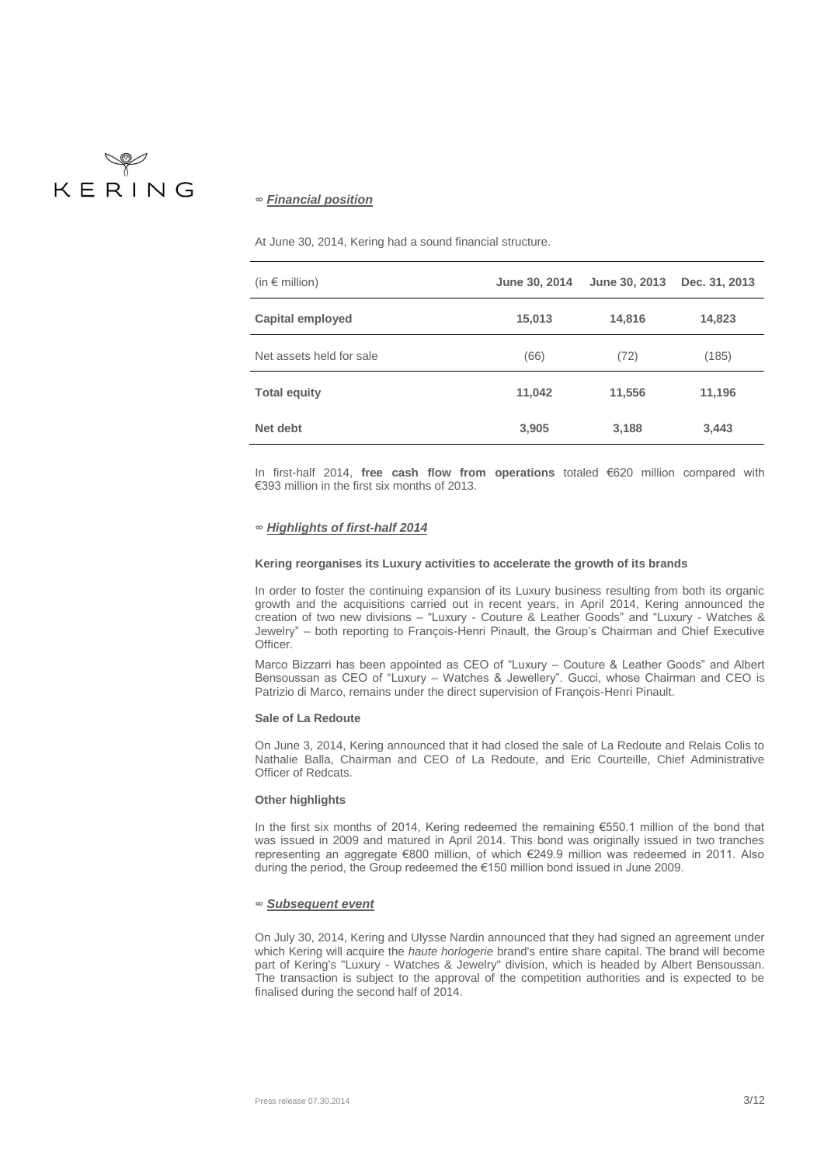# 

## **∞** *Financial position*

| (in $\epsilon$ million)  | June 30, 2014 | June 30, 2013 | Dec. 31, 2013 |
|--------------------------|---------------|---------------|---------------|
| Capital employed         | 15,013        | 14,816        | 14,823        |
| Net assets held for sale | (66)          | (72)          | (185)         |
| <b>Total equity</b>      | 11,042        | 11,556        | 11,196        |
| Net debt                 | 3,905         | 3,188         | 3,443         |

At June 30, 2014, Kering had a sound financial structure.

In first-half 2014, **free cash flow from operations** totaled €620 million compared with €393 million in the first six months of 2013.

## **∞** *Highlights of first-half 2014*

## **Kering reorganises its Luxury activities to accelerate the growth of its brands**

In order to foster the continuing expansion of its Luxury business resulting from both its organic growth and the acquisitions carried out in recent years, in April 2014, Kering announced the creation of two new divisions – "Luxury - Couture & Leather Goods" and "Luxury - Watches & Jewelry" – both reporting to François-Henri Pinault, the Group's Chairman and Chief Executive Officer.

Marco Bizzarri has been appointed as CEO of "Luxury – Couture & Leather Goods" and Albert Bensoussan as CEO of "Luxury – Watches & Jewellery". Gucci, whose Chairman and CEO is Patrizio di Marco, remains under the direct supervision of François-Henri Pinault.

### **Sale of La Redoute**

On June 3, 2014, Kering announced that it had closed the sale of La Redoute and Relais Colis to Nathalie Balla, Chairman and CEO of La Redoute, and Eric Courteille, Chief Administrative Officer of Redcats.

#### **Other highlights**

In the first six months of 2014, Kering redeemed the remaining €550.1 million of the bond that was issued in 2009 and matured in April 2014. This bond was originally issued in two tranches representing an aggregate €800 million, of which €249.9 million was redeemed in 2011. Also during the period, the Group redeemed the €150 million bond issued in June 2009.

#### **∞** *Subsequent event*

On July 30, 2014, Kering and Ulysse Nardin announced that they had signed an agreement under which Kering will acquire the *haute horlogerie* brand's entire share capital. The brand will become part of Kering's "Luxury - Watches & Jewelry" division, which is headed by Albert Bensoussan. The transaction is subject to the approval of the competition authorities and is expected to be finalised during the second half of 2014.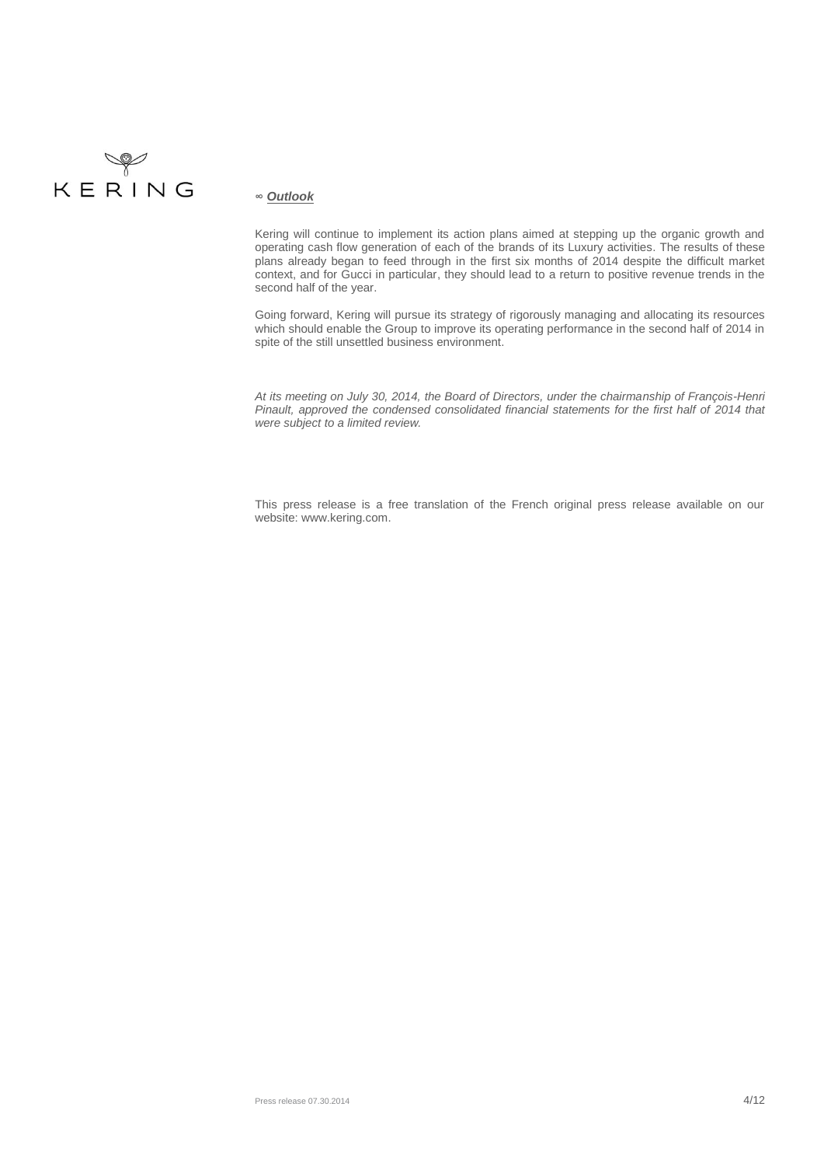

## **∞** *Outlook*

Kering will continue to implement its action plans aimed at stepping up the organic growth and operating cash flow generation of each of the brands of its Luxury activities. The results of these plans already began to feed through in the first six months of 2014 despite the difficult market context, and for Gucci in particular, they should lead to a return to positive revenue trends in the second half of the year.

Going forward, Kering will pursue its strategy of rigorously managing and allocating its resources which should enable the Group to improve its operating performance in the second half of 2014 in spite of the still unsettled business environment.

*At its meeting on July 30, 2014, the Board of Directors, under the chairmanship of François-Henri Pinault, approved the condensed consolidated financial statements for the first half of 2014 that were subject to a limited review.*

This press release is a free translation of the French original press release available on our website: www.kering.com.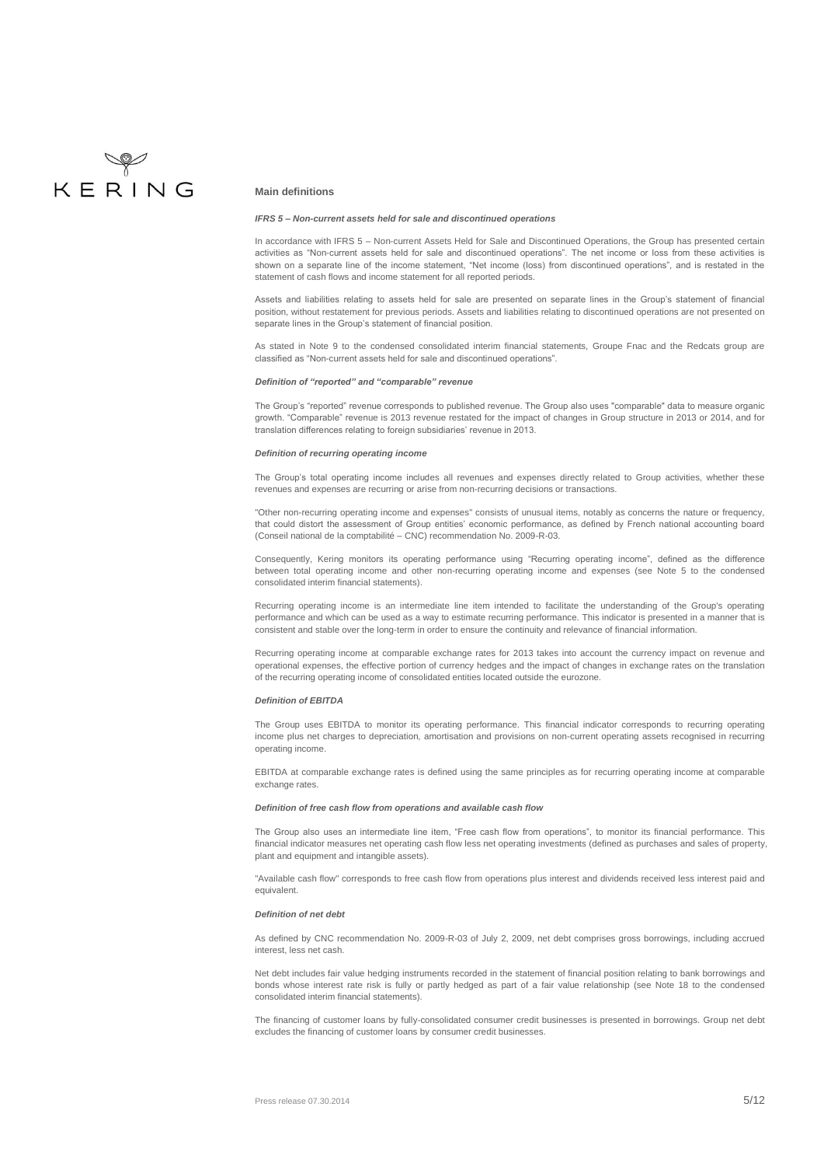

#### **Main definitions**

#### *IFRS 5 – Non-current assets held for sale and discontinued operations*

In accordance with IFRS 5 – Non-current Assets Held for Sale and Discontinued Operations, the Group has presented certain activities as "Non-current assets held for sale and discontinued operations". The net income or loss from these activities is shown on a separate line of the income statement, "Net income (loss) from discontinued operations", and is restated in the statement of cash flows and income statement for all reported periods.

Assets and liabilities relating to assets held for sale are presented on separate lines in the Group's statement of financial position, without restatement for previous periods. Assets and liabilities relating to discontinued operations are not presented on separate lines in the Group's statement of financial position.

As stated in Note 9 to the condensed consolidated interim financial statements, Groupe Fnac and the Redcats group are classified as "Non-current assets held for sale and discontinued operations".

#### *Definition of "reported" and "comparable" revenue*

The Group's "reported" revenue corresponds to published revenue. The Group also uses "comparable" data to measure organic growth. "Comparable" revenue is 2013 revenue restated for the impact of changes in Group structure in 2013 or 2014, and for translation differences relating to foreign subsidiaries' revenue in 2013.

#### *Definition of recurring operating income*

The Group's total operating income includes all revenues and expenses directly related to Group activities, whether these revenues and expenses are recurring or arise from non-recurring decisions or transactions.

"Other non-recurring operating income and expenses" consists of unusual items, notably as concerns the nature or frequency, that could distort the assessment of Group entities' economic performance, as defined by French national accounting board (Conseil national de la comptabilité – CNC) recommendation No. 2009-R-03.

Consequently, Kering monitors its operating performance using "Recurring operating income", defined as the difference between total operating income and other non-recurring operating income and expenses (see Note 5 to the condensed consolidated interim financial statements).

Recurring operating income is an intermediate line item intended to facilitate the understanding of the Group's operating performance and which can be used as a way to estimate recurring performance. This indicator is presented in a manner that is consistent and stable over the long-term in order to ensure the continuity and relevance of financial information.

Recurring operating income at comparable exchange rates for 2013 takes into account the currency impact on revenue and operational expenses, the effective portion of currency hedges and the impact of changes in exchange rates on the translation of the recurring operating income of consolidated entities located outside the eurozone.

#### *Definition of EBITDA*

The Group uses EBITDA to monitor its operating performance. This financial indicator corresponds to recurring operating income plus net charges to depreciation, amortisation and provisions on non-current operating assets recognised in recurring operating income.

EBITDA at comparable exchange rates is defined using the same principles as for recurring operating income at comparable exchange rates

#### *Definition of free cash flow from operations and available cash flow*

The Group also uses an intermediate line item, "Free cash flow from operations", to monitor its financial performance. This financial indicator measures net operating cash flow less net operating investments (defined as purchases and sales of property, plant and equipment and intangible assets).

"Available cash flow" corresponds to free cash flow from operations plus interest and dividends received less interest paid and equivalent.

#### *Definition of net debt*

As defined by CNC recommendation No. 2009-R-03 of July 2, 2009, net debt comprises gross borrowings, including accrued interest, less net cash.

Net debt includes fair value hedging instruments recorded in the statement of financial position relating to bank borrowings and bonds whose interest rate risk is fully or partly hedged as part of a fair value relationship (see Note 18 to the condensed consolidated interim financial statements).

The financing of customer loans by fully-consolidated consumer credit businesses is presented in borrowings. Group net debt excludes the financing of customer loans by consumer credit businesses.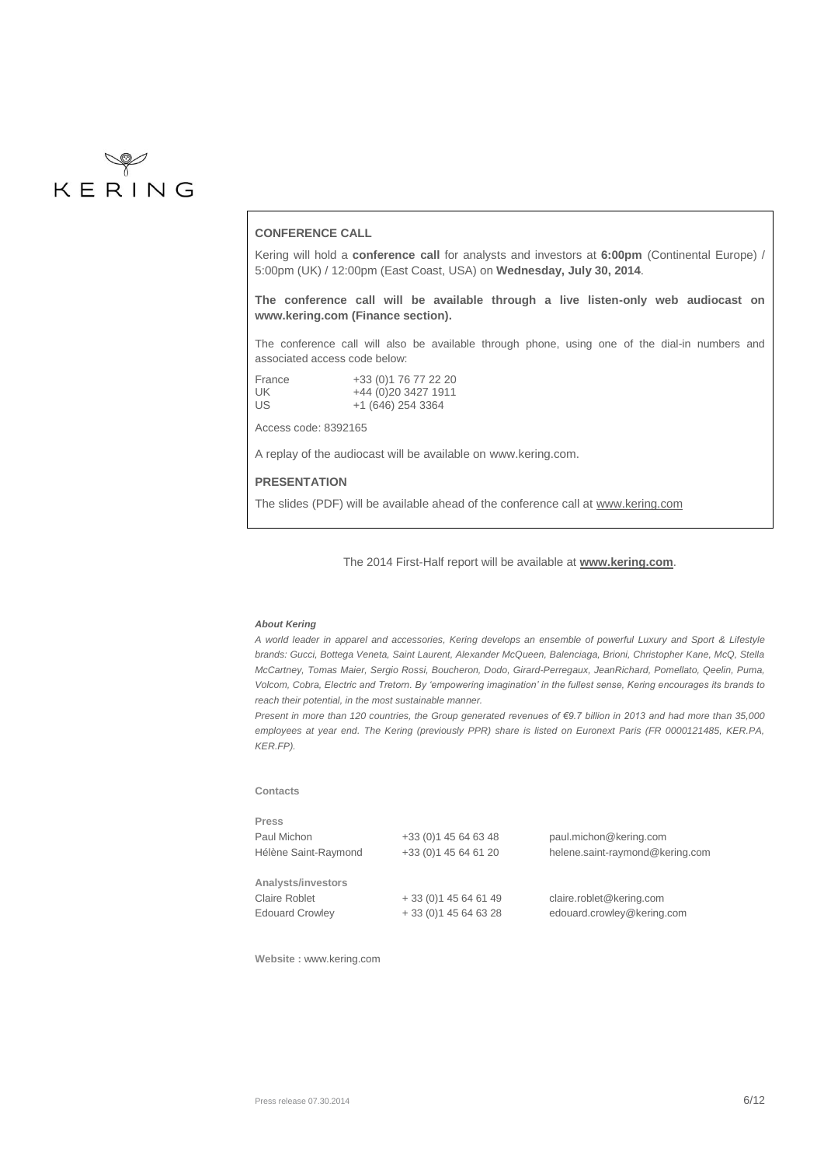

## **CONFERENCE CALL**

Kering will hold a **conference call** for analysts and investors at **6:00pm** (Continental Europe) / 5:00pm (UK) / 12:00pm (East Coast, USA) on **Wednesday, July 30, 2014**.

**The conference call will be available through a live listen-only web audiocast on [www.kering.com](http://www.kering.com/) (Finance section).**

The conference call will also be available through phone, using one of the dial-in numbers and associated access code below:

| France | +33 (0) 1 76 77 22 20 |
|--------|-----------------------|
| UK.    | +44 (0) 20 3427 1911  |
| US.    | +1 (646) 254 3364     |

Access code: 8392165

A replay of the audiocast will be available on [www.kering.com.](http://www.kering.com/en/finance)

### **PRESENTATION**

The slides (PDF) will be available ahead of the conference call at [www.kering.com](http://www.kering.com/)

The 2014 First-Half report will be available at **[www.kering.com](http://www.kering.com/)**.

#### *About Kering*

*A world leader in apparel and accessories, Kering develops an ensemble of powerful Luxury and Sport & Lifestyle brands: Gucci, Bottega Veneta, Saint Laurent, Alexander McQueen, Balenciaga, Brioni, Christopher Kane, McQ, Stella McCartney, Tomas Maier, Sergio Rossi, Boucheron, Dodo, Girard-Perregaux, JeanRichard, Pomellato, Qeelin, Puma, Volcom, Cobra, Electric and Tretorn. By 'empowering imagination' in the fullest sense, Kering encourages its brands to reach their potential, in the most sustainable manner.* 

*Present in more than 120 countries, the Group generated revenues of €9.7 billion in 2013 and had more than 35,000 employees at year end. The Kering (previously PPR) share is listed on Euronext Paris (FR 0000121485, KER.PA, KER.FP).*

#### **Contacts**

| Press                  |                        |                                 |
|------------------------|------------------------|---------------------------------|
| Paul Michon            | +33 (0) 1 45 64 63 48  | paul.michon@kering.com          |
| Hélène Saint-Raymond   | +33 (0) 1 45 64 61 20  | helene.saint-raymond@kering.com |
| Analysts/investors     |                        |                                 |
| Claire Roblet          | $+33(0)145646149$      | claire.roblet@kering.com        |
| <b>Edouard Crowley</b> | + 33 (0) 1 45 64 63 28 | edouard.crowley@kering.com      |

**Website :** www.kering.com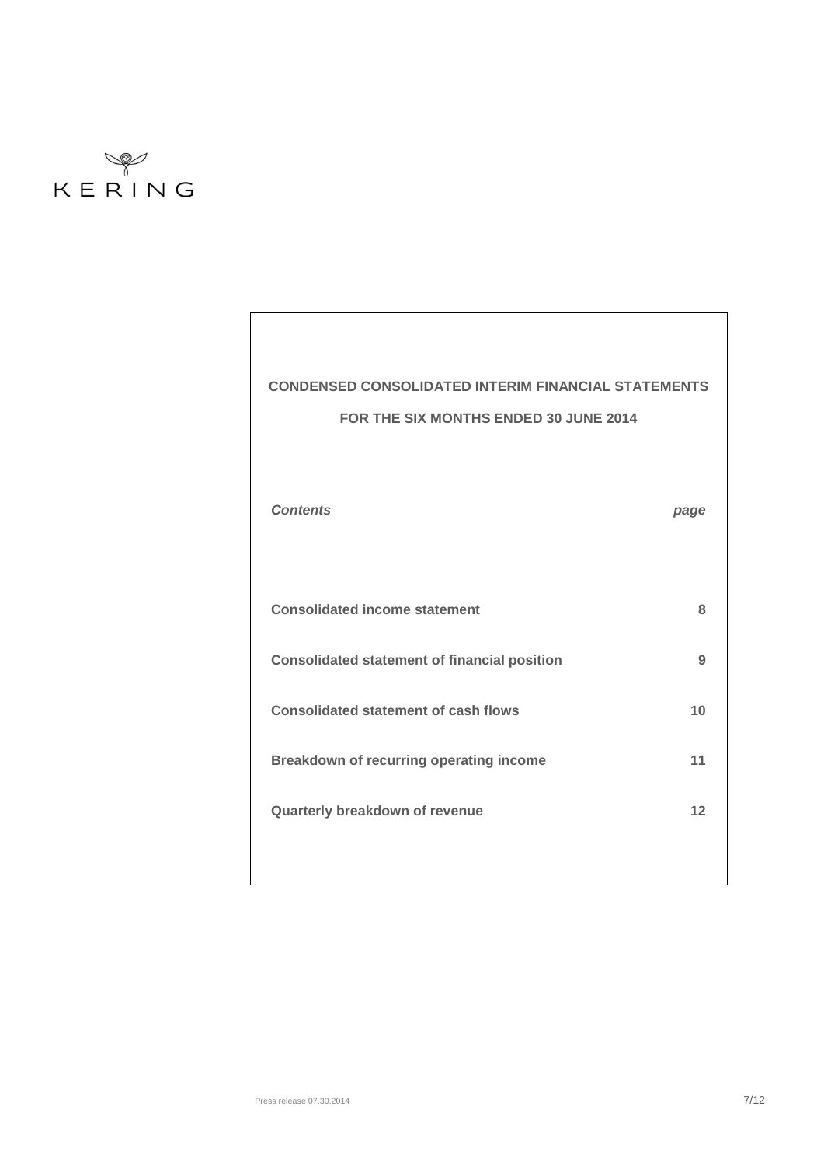

# **CONDENSED CONSOLIDATED INTERIM FINANCIAL STATEMENTS**

# **FOR THE SIX MONTHS ENDED 30 JUNE 2014**

| <b>Contents</b>                                     | paue |
|-----------------------------------------------------|------|
|                                                     |      |
|                                                     |      |
| <b>Consolidated income statement</b>                | 8    |
| <b>Consolidated statement of financial position</b> | 9    |
|                                                     |      |
| <b>Consolidated statement of cash flows</b>         | 10   |
| <b>Breakdown of recurring operating income</b>      | 11   |
| <b>Quarterly breakdown of revenue</b>               | 12   |
|                                                     |      |
|                                                     |      |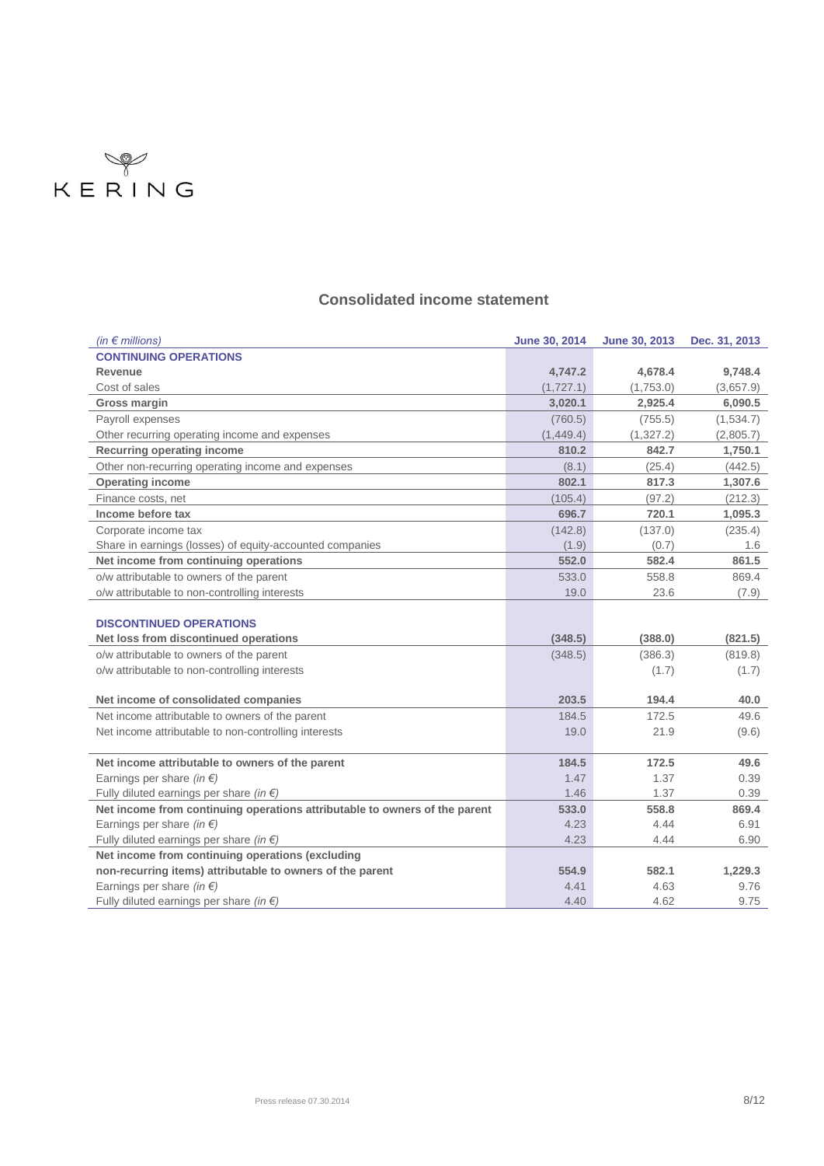

# **Consolidated income statement**

| (in $\notin$ millions)                                                     | <b>June 30, 2014</b> | June 30, 2013 | Dec. 31, 2013 |
|----------------------------------------------------------------------------|----------------------|---------------|---------------|
| <b>CONTINUING OPERATIONS</b>                                               |                      |               |               |
| Revenue                                                                    | 4,747.2              | 4,678.4       | 9,748.4       |
| Cost of sales                                                              | (1,727.1)            | (1,753.0)     | (3,657.9)     |
| Gross margin                                                               | 3,020.1              | 2,925.4       | 6,090.5       |
| Payroll expenses                                                           | (760.5)              | (755.5)       | (1,534.7)     |
| Other recurring operating income and expenses                              | (1,449.4)            | (1,327.2)     | (2,805.7)     |
| <b>Recurring operating income</b>                                          | 810.2                | 842.7         | 1,750.1       |
| Other non-recurring operating income and expenses                          | (8.1)                | (25.4)        | (442.5)       |
| <b>Operating income</b>                                                    | 802.1                | 817.3         | 1,307.6       |
| Finance costs, net                                                         | (105.4)              | (97.2)        | (212.3)       |
| Income before tax                                                          | 696.7                | 720.1         | 1,095.3       |
| Corporate income tax                                                       | (142.8)              | (137.0)       | (235.4)       |
| Share in earnings (losses) of equity-accounted companies                   | (1.9)                | (0.7)         | 1.6           |
| Net income from continuing operations                                      | 552.0                | 582.4         | 861.5         |
| o/w attributable to owners of the parent                                   | 533.0                | 558.8         | 869.4         |
| o/w attributable to non-controlling interests                              | 19.0                 | 23.6          | (7.9)         |
|                                                                            |                      |               |               |
| <b>DISCONTINUED OPERATIONS</b>                                             |                      |               |               |
| Net loss from discontinued operations                                      | (348.5)              | (388.0)       | (821.5)       |
| o/w attributable to owners of the parent                                   | (348.5)              | (386.3)       | (819.8)       |
| o/w attributable to non-controlling interests                              |                      | (1.7)         | (1.7)         |
|                                                                            |                      |               |               |
| Net income of consolidated companies                                       | 203.5                | 194.4         | 40.0          |
| Net income attributable to owners of the parent                            | 184.5                | 172.5         | 49.6          |
| Net income attributable to non-controlling interests                       | 19.0                 | 21.9          | (9.6)         |
|                                                                            |                      |               |               |
| Net income attributable to owners of the parent                            | 184.5                | 172.5         | 49.6          |
| Earnings per share (in $\epsilon$ )                                        | 1.47                 | 1.37          | 0.39          |
| Fully diluted earnings per share (in $\epsilon$ )                          | 1.46                 | 1.37          | 0.39          |
| Net income from continuing operations attributable to owners of the parent | 533.0                | 558.8         | 869.4         |
| Earnings per share (in $\epsilon$ )                                        | 4.23                 | 4.44          | 6.91          |
| Fully diluted earnings per share (in $\epsilon$ )                          | 4.23                 | 4.44          | 6.90          |
| Net income from continuing operations (excluding                           |                      |               |               |
| non-recurring items) attributable to owners of the parent                  | 554.9                | 582.1         | 1,229.3       |
| Earnings per share (in $\epsilon$ )                                        | 4.41                 | 4.63          | 9.76          |
| Fully diluted earnings per share (in $\epsilon$ )                          | 4.40                 | 4.62          | 9.75          |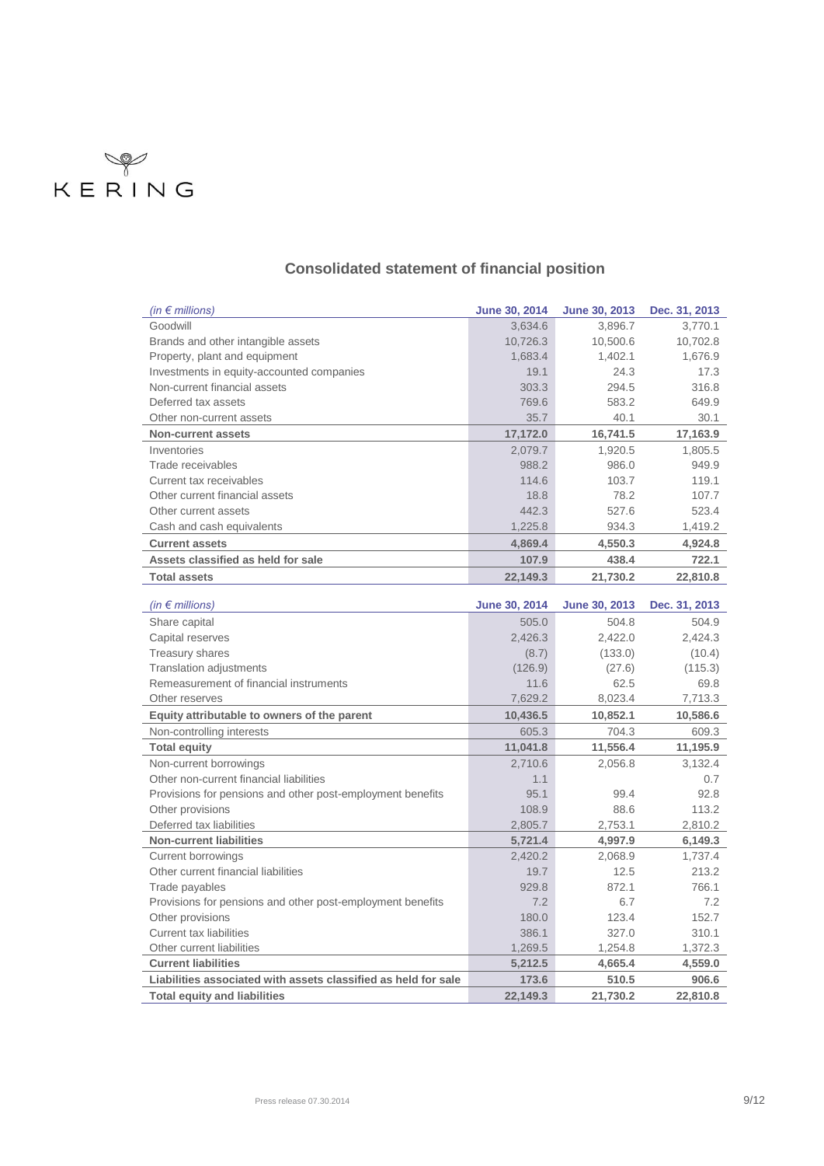

# **Consolidated statement of financial position**

| (in $\notin$ millions)                                         | <b>June 30, 2014</b> | <b>June 30, 2013</b> | Dec. 31, 2013     |
|----------------------------------------------------------------|----------------------|----------------------|-------------------|
| Goodwill                                                       | 3,634.6              | 3,896.7              | 3,770.1           |
| Brands and other intangible assets                             | 10,726.3             | 10,500.6             | 10,702.8          |
| Property, plant and equipment                                  | 1,683.4              | 1,402.1              | 1,676.9           |
| Investments in equity-accounted companies                      | 19.1                 | 24.3                 | 17.3              |
| Non-current financial assets                                   | 303.3                | 294.5                | 316.8             |
| Deferred tax assets                                            | 769.6                | 583.2                | 649.9             |
| Other non-current assets                                       | 35.7                 | 40.1                 | 30.1              |
| <b>Non-current assets</b>                                      | 17,172.0             | 16,741.5             | 17,163.9          |
| Inventories                                                    | 2,079.7              | 1,920.5              | 1,805.5           |
| Trade receivables                                              | 988.2                | 986.0                | 949.9             |
| Current tax receivables                                        | 114.6                | 103.7                | 119.1             |
| Other current financial assets                                 | 18.8                 | 78.2                 | 107.7             |
| Other current assets                                           | 442.3                | 527.6                | 523.4             |
| Cash and cash equivalents                                      | 1,225.8              | 934.3                | 1,419.2           |
| <b>Current assets</b>                                          | 4,869.4              | 4,550.3              | 4,924.8           |
| Assets classified as held for sale                             | 107.9                | 438.4                | 722.1             |
| <b>Total assets</b>                                            | 22,149.3             | 21,730.2             | 22,810.8          |
|                                                                | June 30, 2014        |                      |                   |
| (in $\epsilon$ millions)                                       |                      | June 30, 2013        | Dec. 31, 2013     |
| Share capital                                                  | 505.0                | 504.8                | 504.9             |
| Capital reserves<br>Treasury shares                            | 2,426.3<br>(8.7)     | 2,422.0<br>(133.0)   | 2,424.3<br>(10.4) |
| <b>Translation adjustments</b>                                 |                      |                      |                   |
| Remeasurement of financial instruments                         | (126.9)<br>11.6      | (27.6)<br>62.5       | (115.3)<br>69.8   |
| Other reserves                                                 | 7,629.2              | 8,023.4              | 7,713.3           |
| Equity attributable to owners of the parent                    | 10,436.5             | 10,852.1             | 10,586.6          |
| Non-controlling interests                                      | 605.3                | 704.3                | 609.3             |
| <b>Total equity</b>                                            | 11,041.8             | 11,556.4             | 11,195.9          |
| Non-current borrowings                                         | 2,710.6              | 2,056.8              | 3,132.4           |
| Other non-current financial liabilities                        | 1.1                  |                      | 0.7               |
| Provisions for pensions and other post-employment benefits     | 95.1                 | 99.4                 | 92.8              |
| Other provisions                                               | 108.9                | 88.6                 | 113.2             |
| Deferred tax liabilities                                       | 2,805.7              | 2,753.1              | 2,810.2           |
| <b>Non-current liabilities</b>                                 | 5,721.4              | 4,997.9              | 6,149.3           |
| <b>Current borrowings</b>                                      | 2,420.2              | 2,068.9              | 1,737.4           |
| Other current financial liabilities                            | 19.7                 | 12.5                 | 213.2             |
| Trade payables                                                 | 929.8                | 872.1                | 766.1             |
| Provisions for pensions and other post-employment benefits     | 7.2                  | 6.7                  | 7.2               |
| Other provisions                                               | 180.0                | 123.4                | 152.7             |
| <b>Current tax liabilities</b>                                 |                      | 327.0                | 310.1             |
|                                                                |                      |                      |                   |
|                                                                | 386.1                |                      |                   |
| Other current liabilities<br><b>Current liabilities</b>        | 1,269.5              | 1,254.8              | 1,372.3           |
| Liabilities associated with assets classified as held for sale | 5,212.5<br>173.6     | 4,665.4<br>510.5     | 4,559.0<br>906.6  |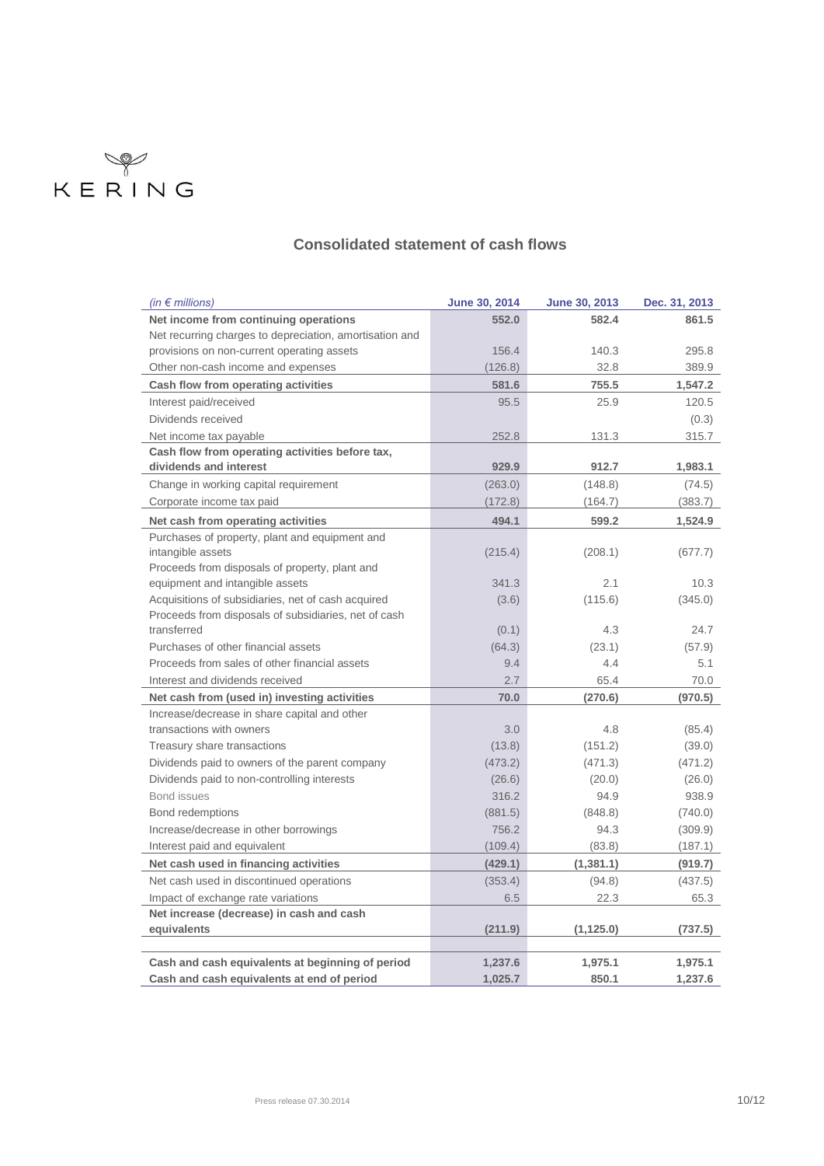

# **Consolidated statement of cash flows**

| (in $\epsilon$ millions)                                | June 30, 2014 | June 30, 2013 | Dec. 31, 2013 |
|---------------------------------------------------------|---------------|---------------|---------------|
| Net income from continuing operations                   | 552.0         | 582.4         | 861.5         |
| Net recurring charges to depreciation, amortisation and |               |               |               |
| provisions on non-current operating assets              | 156.4         | 140.3         | 295.8         |
| Other non-cash income and expenses                      | (126.8)       | 32.8          | 389.9         |
| Cash flow from operating activities                     | 581.6         | 755.5         | 1,547.2       |
| Interest paid/received                                  | 95.5          | 25.9          | 120.5         |
| Dividends received                                      |               |               | (0.3)         |
| Net income tax payable                                  | 252.8         | 131.3         | 315.7         |
| Cash flow from operating activities before tax,         |               |               |               |
| dividends and interest                                  | 929.9         | 912.7         | 1,983.1       |
| Change in working capital requirement                   | (263.0)       | (148.8)       | (74.5)        |
| Corporate income tax paid                               | (172.8)       | (164.7)       | (383.7)       |
| Net cash from operating activities                      | 494.1         | 599.2         | 1,524.9       |
| Purchases of property, plant and equipment and          |               |               |               |
| intangible assets                                       | (215.4)       | (208.1)       | (677.7)       |
| Proceeds from disposals of property, plant and          |               |               |               |
| equipment and intangible assets                         | 341.3         | 2.1           | 10.3          |
| Acquisitions of subsidiaries, net of cash acquired      | (3.6)         | (115.6)       | (345.0)       |
| Proceeds from disposals of subsidiaries, net of cash    |               |               |               |
| transferred                                             | (0.1)         | 4.3           | 24.7          |
| Purchases of other financial assets                     | (64.3)        | (23.1)        | (57.9)        |
| Proceeds from sales of other financial assets           | 9.4           | 4.4           | 5.1           |
| Interest and dividends received                         | 2.7           | 65.4          | 70.0          |
| Net cash from (used in) investing activities            | 70.0          | (270.6)       | (970.5)       |
| Increase/decrease in share capital and other            |               |               |               |
| transactions with owners                                | 3.0           | 4.8           | (85.4)        |
| Treasury share transactions                             | (13.8)        | (151.2)       | (39.0)        |
| Dividends paid to owners of the parent company          | (473.2)       | (471.3)       | (471.2)       |
| Dividends paid to non-controlling interests             | (26.6)        | (20.0)        | (26.0)        |
| <b>Bond issues</b>                                      | 316.2         | 94.9          | 938.9         |
| Bond redemptions                                        | (881.5)       | (848.8)       | (740.0)       |
| Increase/decrease in other borrowings                   | 756.2         | 94.3          | (309.9)       |
| Interest paid and equivalent                            | (109.4)       | (83.8)        | (187.1)       |
| Net cash used in financing activities                   | (429.1)       | (1, 381.1)    | (919.7)       |
| Net cash used in discontinued operations                | (353.4)       | (94.8)        | (437.5)       |
| Impact of exchange rate variations                      | 6.5           | 22.3          | 65.3          |
| Net increase (decrease) in cash and cash                |               |               |               |
| equivalents                                             | (211.9)       | (1, 125.0)    | (737.5)       |
|                                                         |               |               |               |
| Cash and cash equivalents at beginning of period        | 1,237.6       | 1,975.1       | 1,975.1       |
| Cash and cash equivalents at end of period              | 1,025.7       | 850.1         | 1,237.6       |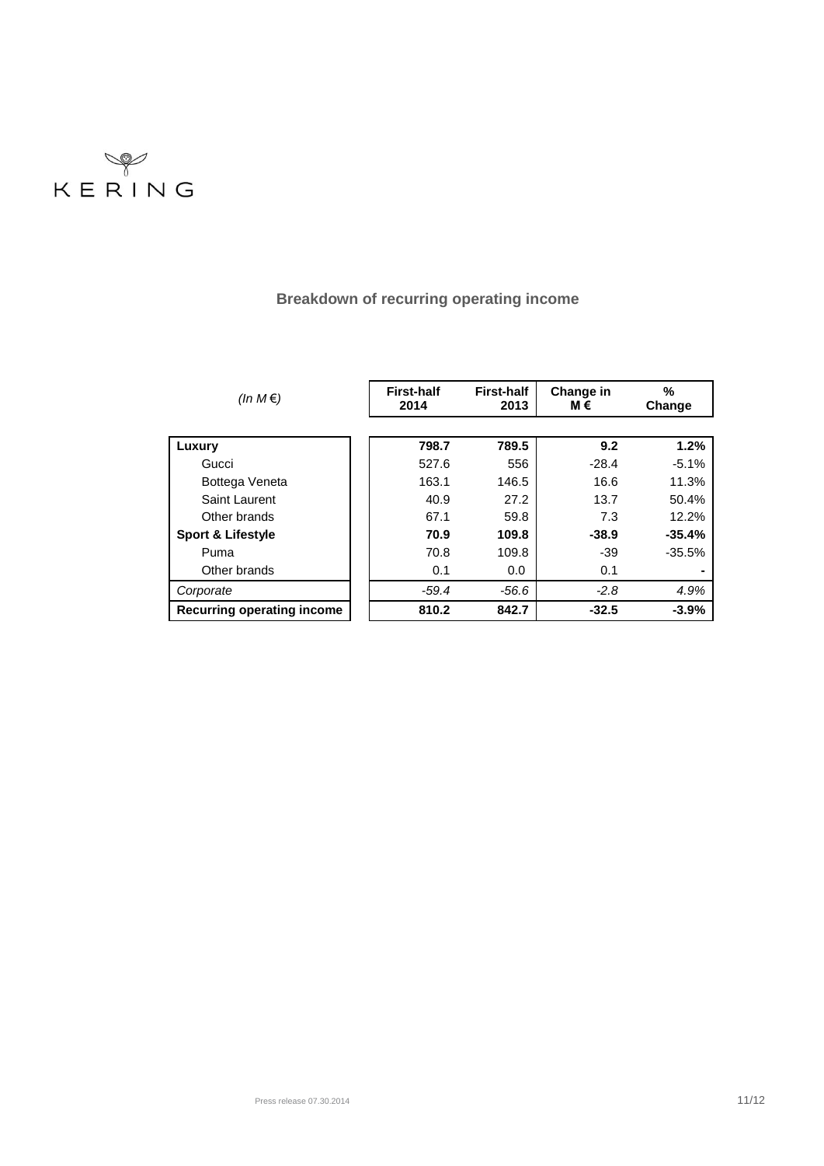

# **Breakdown of recurring operating income**

| $(ln M \in )$                     | <b>First-half</b><br>2014 | <b>First-half</b><br>2013 | Change in<br>M€ | $\frac{9}{6}$<br>Change |  |
|-----------------------------------|---------------------------|---------------------------|-----------------|-------------------------|--|
|                                   |                           |                           |                 |                         |  |
| Luxury                            | 798.7                     | 789.5                     | 9.2             | 1.2%                    |  |
| Gucci                             | 527.6                     | 556                       | $-28.4$         | $-5.1%$                 |  |
| Bottega Veneta                    | 163.1                     | 146.5                     | 16.6            | 11.3%                   |  |
| Saint Laurent                     | 40.9                      | 27.2                      | 13.7            | 50.4%                   |  |
| Other brands                      | 67.1                      | 59.8                      | 7.3             | 12.2%                   |  |
| <b>Sport &amp; Lifestyle</b>      | 70.9                      | 109.8                     | $-38.9$         | $-35.4%$                |  |
| Puma                              | 70.8                      | 109.8                     | $-39$           | $-35.5%$                |  |
| Other brands                      | 0.1                       | 0.0                       | 0.1             |                         |  |
| Corporate                         | $-59.4$                   | $-56.6$                   | $-2.8$          | 4.9%                    |  |
| <b>Recurring operating income</b> | 810.2                     | 842.7                     | $-32.5$         | $-3.9%$                 |  |